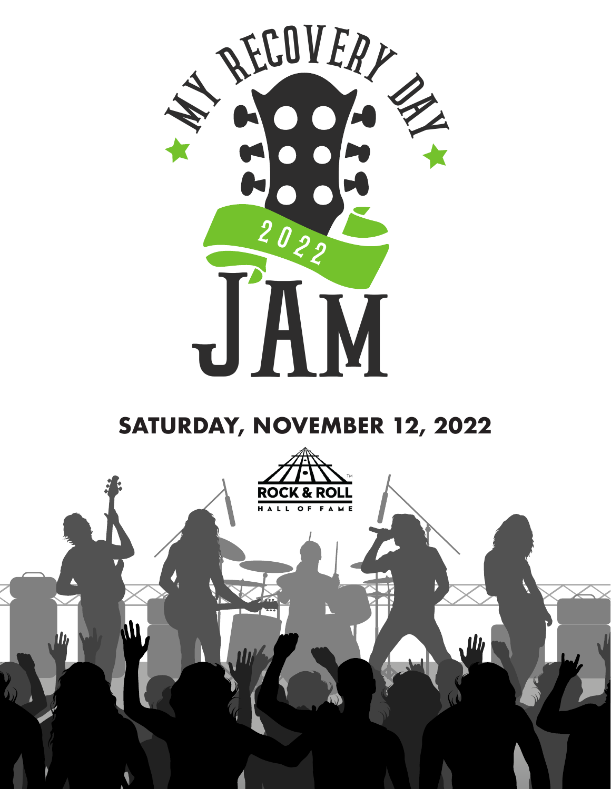

#### **SATURDAY, NOVEMBER 12, 2022**

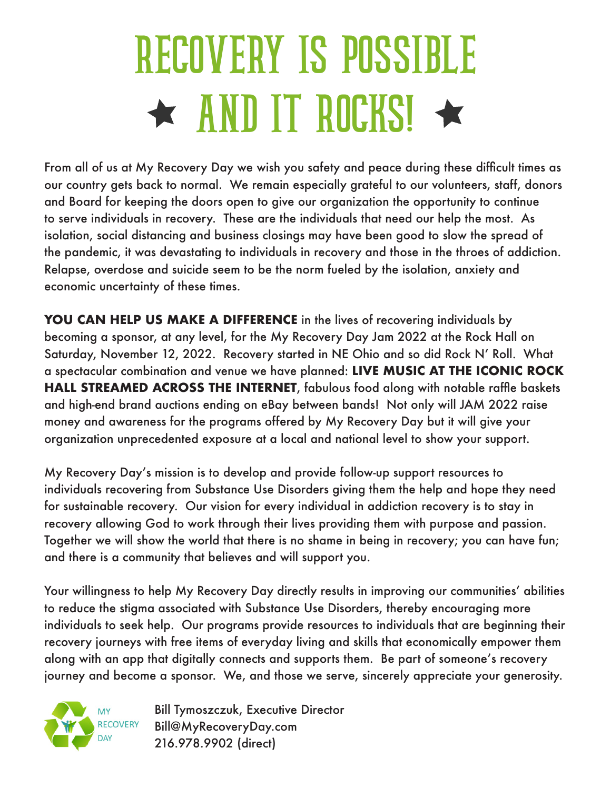## RECOVERY IS POSSIBLE  $\star$  AND IT ROCKS!  $\star$

From all of us at My Recovery Day we wish you safety and peace during these difficult times as our country gets back to normal. We remain especially grateful to our volunteers, staff, donors and Board for keeping the doors open to give our organization the opportunity to continue to serve individuals in recovery. These are the individuals that need our help the most. As isolation, social distancing and business closings may have been good to slow the spread of the pandemic, it was devastating to individuals in recovery and those in the throes of addiction. Relapse, overdose and suicide seem to be the norm fueled by the isolation, anxiety and economic uncertainty of these times.

**YOU CAN HELP US MAKE A DIFFERENCE** in the lives of recovering individuals by becoming a sponsor, at any level, for the My Recovery Day Jam 2022 at the Rock Hall on Saturday, November 12, 2022. Recovery started in NE Ohio and so did Rock N' Roll. What a spectacular combination and venue we have planned: **LIVE MUSIC AT THE ICONIC ROCK HALL STREAMED ACROSS THE INTERNET**, fabulous food along with notable raffle baskets and high-end brand auctions ending on eBay between bands! Not only will JAM 2022 raise money and awareness for the programs offered by My Recovery Day but it will give your organization unprecedented exposure at a local and national level to show your support.

My Recovery Day's mission is to develop and provide follow-up support resources to individuals recovering from Substance Use Disorders giving them the help and hope they need for sustainable recovery. Our vision for every individual in addiction recovery is to stay in recovery allowing God to work through their lives providing them with purpose and passion. Together we will show the world that there is no shame in being in recovery; you can have fun; and there is a community that believes and will support you.

Your willingness to help My Recovery Day directly results in improving our communities' abilities to reduce the stigma associated with Substance Use Disorders, thereby encouraging more individuals to seek help. Our programs provide resources to individuals that are beginning their recovery journeys with free items of everyday living and skills that economically empower them along with an app that digitally connects and supports them. Be part of someone's recovery journey and become a sponsor. We, and those we serve, sincerely appreciate your generosity.



Bill Tymoszczuk, Executive Director Bill@MyRecoveryDay.com 216.978.9902 (direct)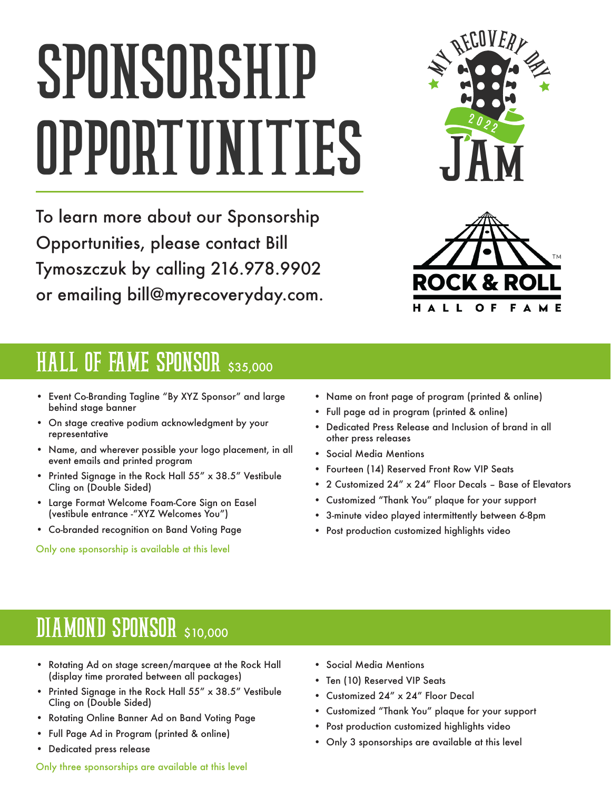# SPONSORSHIP OPPORTUNITIES

To learn more about our Sponsorship Opportunities, please contact Bill Tymoszczuk by calling 216.978.9902 or emailing bill@myrecoveryday.com.





#### HALL OF FAME SPONSOR \$35,000

- Event Co-Branding Tagline "By XYZ Sponsor" and large behind stage banner
- On stage creative podium acknowledgment by your representative
- Name, and wherever possible your logo placement, in all event emails and printed program
- Printed Signage in the Rock Hall 55" x 38.5" Vestibule Cling on (Double Sided)
- Large Format Welcome Foam-Core Sign on Easel (vestibule entrance -"XYZ Welcomes You")
- Co-branded recognition on Band Voting Page

Only one sponsorship is available at this level

- Name on front page of program (printed & online)
- Full page ad in program (printed & online)
- Dedicated Press Release and Inclusion of brand in all other press releases
- Social Media Mentions
- Fourteen (14) Reserved Front Row VIP Seats
- 2 Customized 24" x 24" Floor Decals Base of Elevators
- Customized "Thank You" plaque for your support
- 3-minute video played intermittently between 6-8pm
- Post production customized highlights video

#### DIAMOND SPONSOR \$10,000

- Rotating Ad on stage screen/marquee at the Rock Hall (display time prorated between all packages)
- Printed Signage in the Rock Hall 55" x 38.5" Vestibule Cling on (Double Sided)
- Rotating Online Banner Ad on Band Voting Page
- Full Page Ad in Program (printed & online)
- Dedicated press release

Only three sponsorships are available at this level

- Social Media Mentions
- Ten (10) Reserved VIP Seats
- Customized 24" x 24" Floor Decal
- Customized "Thank You" plaque for your support
- Post production customized highlights video
- Only 3 sponsorships are available at this level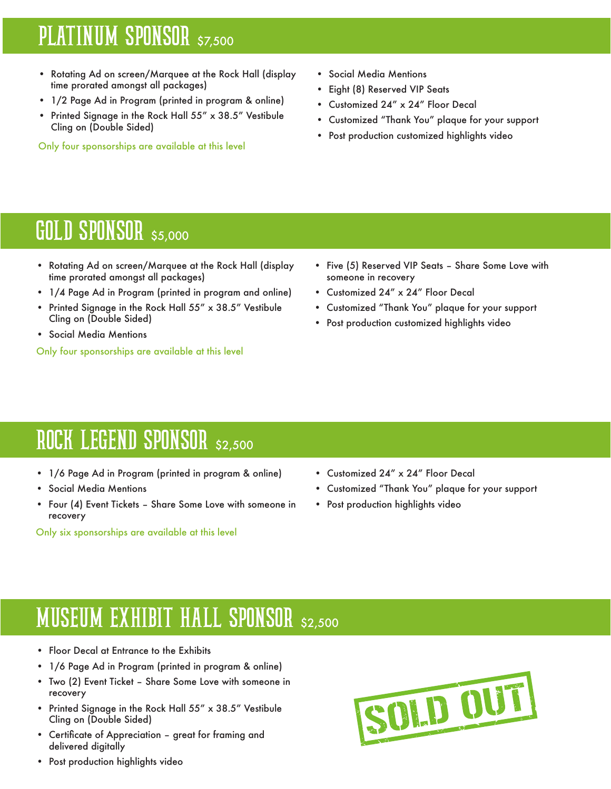#### PLATINUM SPONSOR \$7,500

- Rotating Ad on screen/Marquee at the Rock Hall (display time prorated amongst all packages)
- 1/2 Page Ad in Program (printed in program & online)
- Printed Signage in the Rock Hall 55" x 38.5" Vestibule Cling on (Double Sided)

Only four sponsorships are available at this level

- Social Media Mentions
- Eight (8) Reserved VIP Seats
- Customized 24" x 24" Floor Decal
- Customized "Thank You" plaque for your support
- Post production customized highlights video

#### GOLD SPONSOR \$5,000

- Rotating Ad on screen/Marquee at the Rock Hall (display time prorated amongst all packages)
- 1/4 Page Ad in Program (printed in program and online)
- Printed Signage in the Rock Hall 55" x 38.5" Vestibule Cling on (Double Sided)
- Social Media Mentions

Only four sponsorships are available at this level

- Five (5) Reserved VIP Seats Share Some Love with someone in recovery
- Customized 24" x 24" Floor Decal
- Customized "Thank You" plaque for your support
- Post production customized highlights video

#### ROCK LEGEND SPONSOR \$2,500

- 1/6 Page Ad in Program (printed in program & online)
- Social Media Mentions
- Four (4) Event Tickets Share Some Love with someone in recovery

Only six sponsorships are available at this level

- Customized 24" x 24" Floor Decal
- Customized "Thank You" plaque for your support
- Post production highlights video

#### MUSEUM EXHIBIT HALL SPONSOR \$2,500

- Floor Decal at Entrance to the Exhibits
- 1/6 Page Ad in Program (printed in program & online)
- Two (2) Event Ticket Share Some Love with someone in recovery
- Printed Signage in the Rock Hall 55" x 38.5" Vestibule Cling on (Double Sided)
- Certificate of Appreciation great for framing and delivered digitally

SOLD OUT

• Post production highlights video